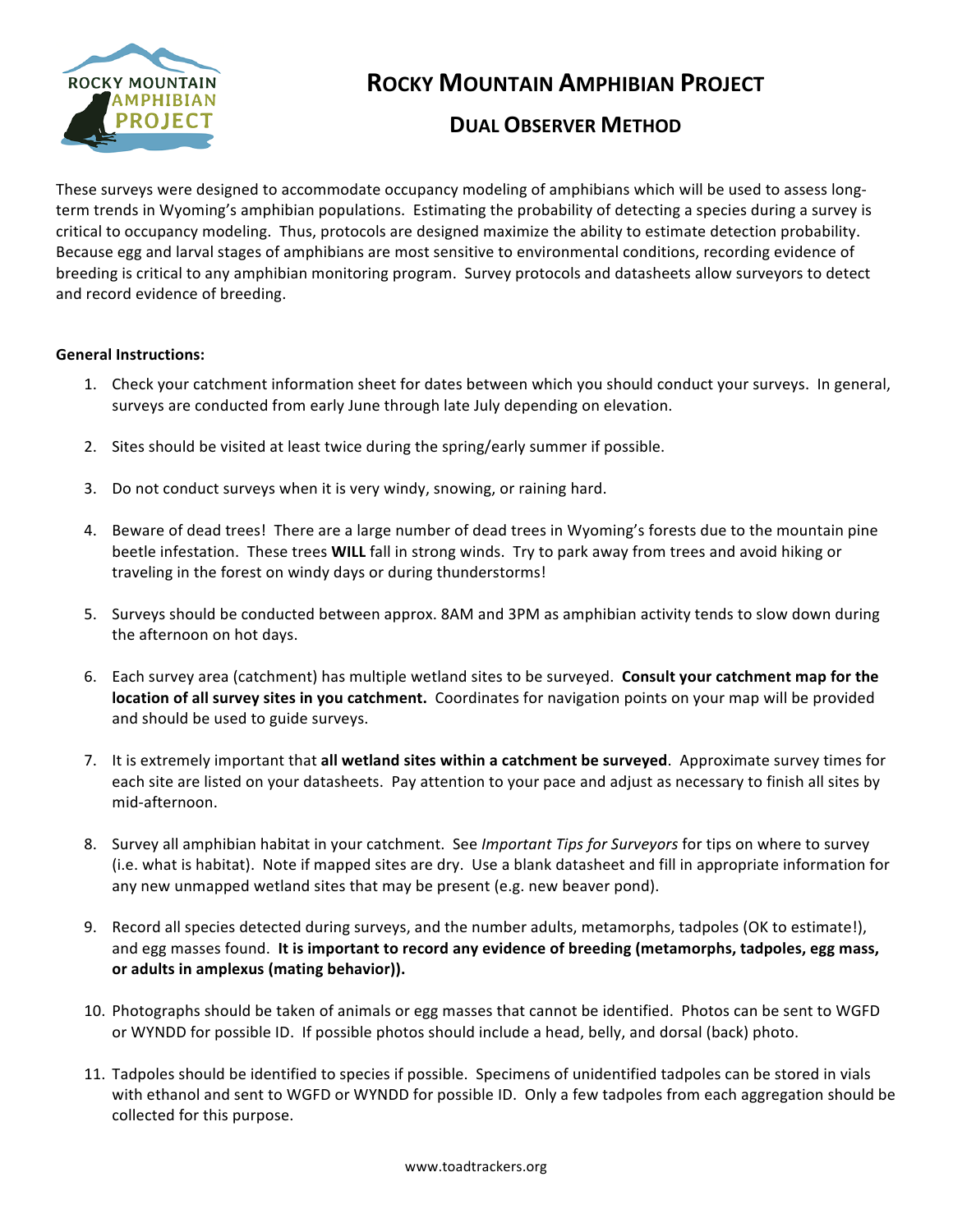

# **ROCKY MOUNTAIN AMPHIBIAN PROJECT**

### **DUAL OBSERVER METHOD**

These surveys were designed to accommodate occupancy modeling of amphibians which will be used to assess longterm trends in Wyoming's amphibian populations. Estimating the probability of detecting a species during a survey is critical to occupancy modeling. Thus, protocols are designed maximize the ability to estimate detection probability. Because egg and larval stages of amphibians are most sensitive to environmental conditions, recording evidence of breeding is critical to any amphibian monitoring program. Survey protocols and datasheets allow surveyors to detect and record evidence of breeding.

#### **General Instructions:**

- 1. Check your catchment information sheet for dates between which you should conduct your surveys. In general, surveys are conducted from early June through late July depending on elevation.
- 2. Sites should be visited at least twice during the spring/early summer if possible.
- 3. Do not conduct surveys when it is very windy, snowing, or raining hard.
- 4. Beware of dead trees! There are a large number of dead trees in Wyoming's forests due to the mountain pine beetle infestation. These trees WILL fall in strong winds. Try to park away from trees and avoid hiking or traveling in the forest on windy days or during thunderstorms!
- 5. Surveys should be conducted between approx. 8AM and 3PM as amphibian activity tends to slow down during the afternoon on hot days.
- 6. Each survey area (catchment) has multiple wetland sites to be surveyed. **Consult your catchment map for the location of all survey sites in you catchment.** Coordinates for navigation points on your map will be provided and should be used to guide surveys.
- 7. It is extremely important that all wetland sites within a catchment be surveyed. Approximate survey times for each site are listed on your datasheets. Pay attention to your pace and adjust as necessary to finish all sites by mid-afternoon.
- 8. Survey all amphibian habitat in your catchment. See *Important Tips for Surveyors* for tips on where to survey (i.e. what is habitat). Note if mapped sites are dry. Use a blank datasheet and fill in appropriate information for any new unmapped wetland sites that may be present (e.g. new beaver pond).
- 9. Record all species detected during surveys, and the number adults, metamorphs, tadpoles (OK to estimate!), and egg masses found. It is important to record any evidence of breeding (metamorphs, tadpoles, egg mass, or adults in amplexus (mating behavior)).
- 10. Photographs should be taken of animals or egg masses that cannot be identified. Photos can be sent to WGFD or WYNDD for possible ID. If possible photos should include a head, belly, and dorsal (back) photo.
- 11. Tadpoles should be identified to species if possible. Specimens of unidentified tadpoles can be stored in vials with ethanol and sent to WGFD or WYNDD for possible ID. Only a few tadpoles from each aggregation should be collected for this purpose.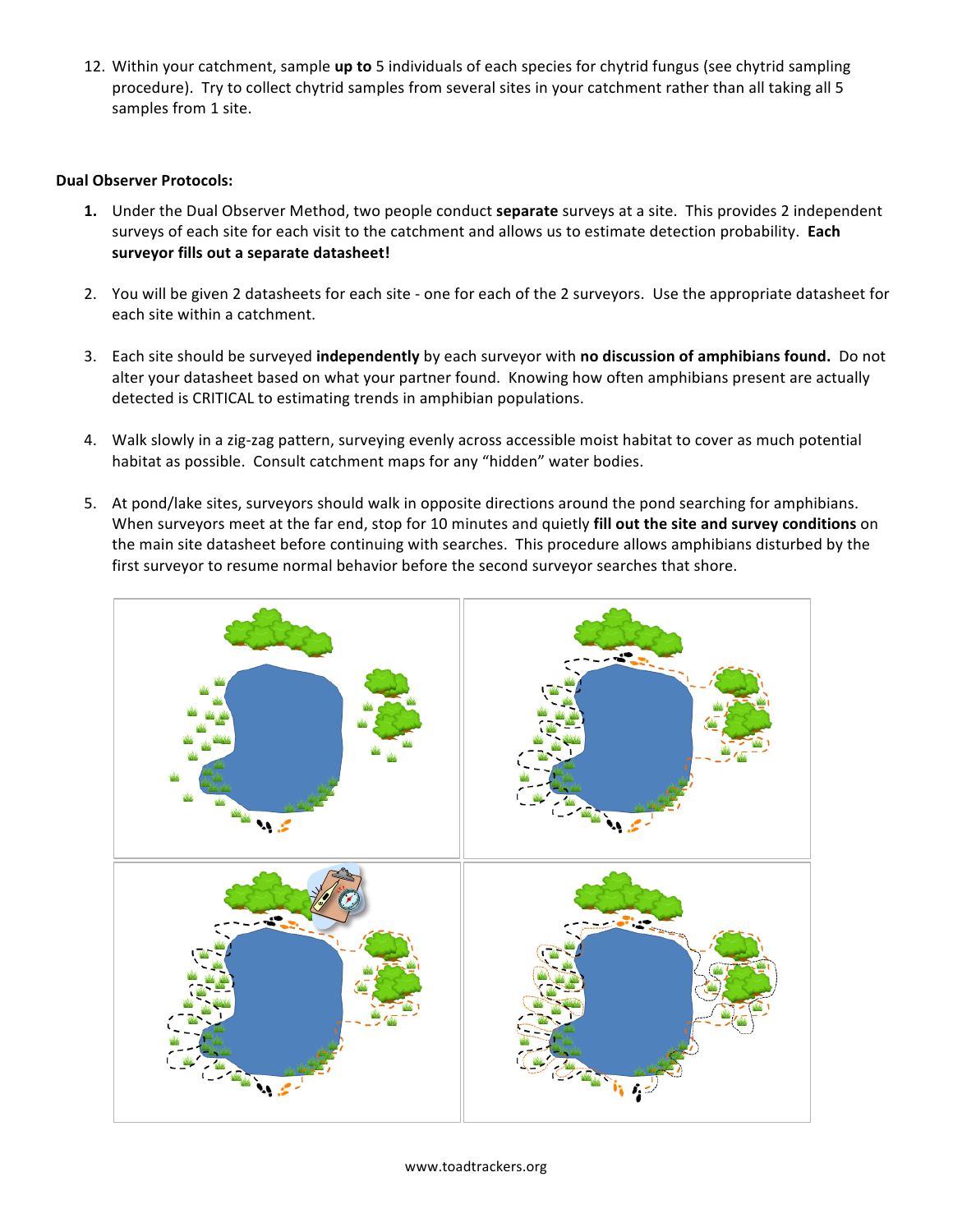12. Within your catchment, sample up to 5 individuals of each species for chytrid fungus (see chytrid sampling procedure). Try to collect chytrid samples from several sites in your catchment rather than all taking all 5 samples from 1 site.

#### **Dual Observer Protocols:**

- **1.** Under the Dual Observer Method, two people conduct **separate** surveys at a site. This provides 2 independent surveys of each site for each visit to the catchment and allows us to estimate detection probability. Each surveyor fills out a separate datasheet!
- 2. You will be given 2 datasheets for each site one for each of the 2 surveyors. Use the appropriate datasheet for each site within a catchment.
- 3. Each site should be surveyed **independently** by each surveyor with **no discussion of amphibians found.** Do not alter your datasheet based on what your partner found. Knowing how often amphibians present are actually detected is CRITICAL to estimating trends in amphibian populations.
- 4. Walk slowly in a zig-zag pattern, surveying evenly across accessible moist habitat to cover as much potential habitat as possible. Consult catchment maps for any "hidden" water bodies.
- 5. At pond/lake sites, surveyors should walk in opposite directions around the pond searching for amphibians. When surveyors meet at the far end, stop for 10 minutes and quietly fill out the site and survey conditions on the main site datasheet before continuing with searches. This procedure allows amphibians disturbed by the first surveyor to resume normal behavior before the second surveyor searches that shore.

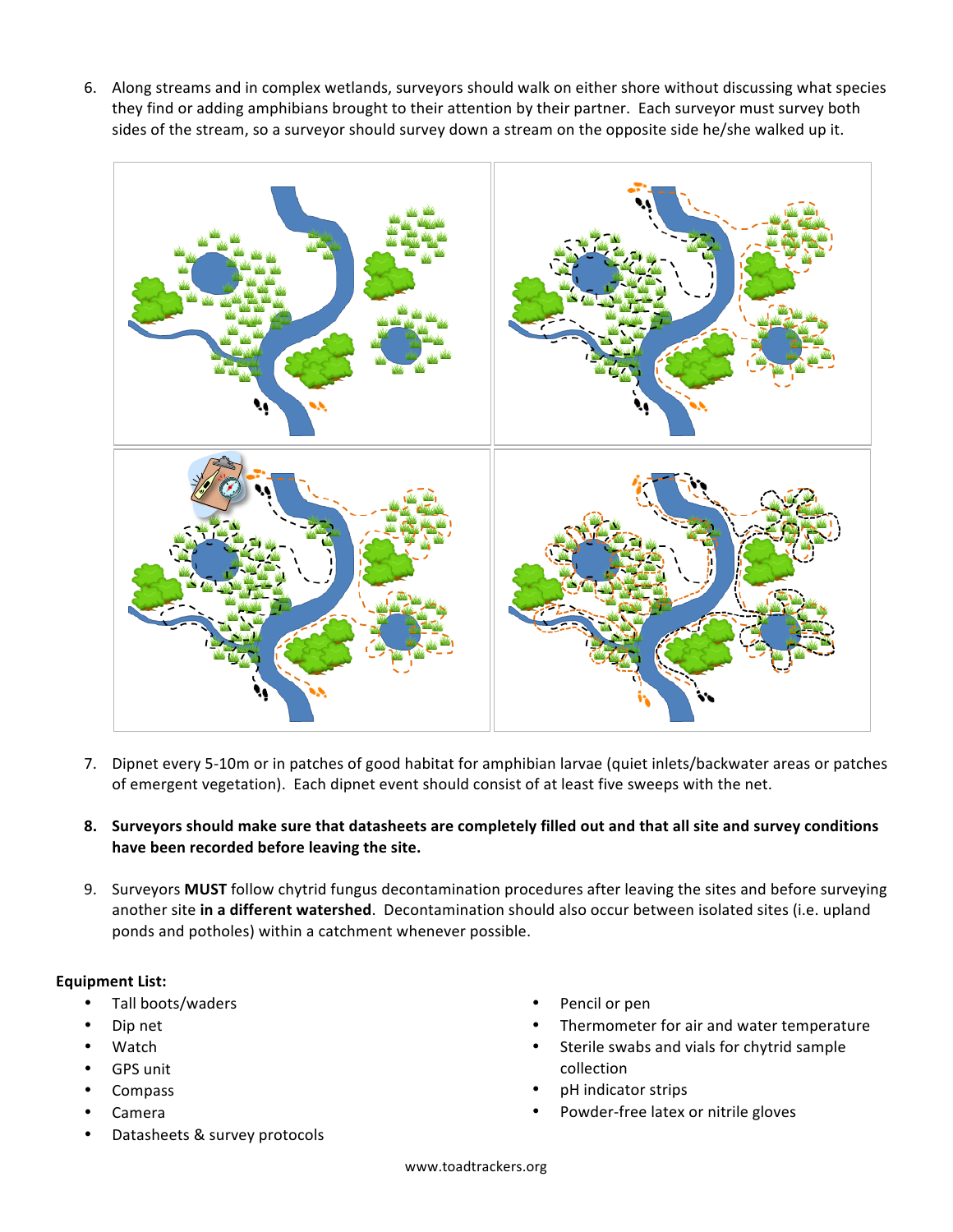6. Along streams and in complex wetlands, surveyors should walk on either shore without discussing what species they find or adding amphibians brought to their attention by their partner. Each surveyor must survey both sides of the stream, so a surveyor should survey down a stream on the opposite side he/she walked up it.



- 7. Dipnet every 5-10m or in patches of good habitat for amphibian larvae (quiet inlets/backwater areas or patches of emergent vegetation). Each dipnet event should consist of at least five sweeps with the net.
- **8.** Surveyors should make sure that datasheets are completely filled out and that all site and survey conditions **have been recorded before leaving the site.**
- 9. Surveyors MUST follow chytrid fungus decontamination procedures after leaving the sites and before surveying another site in a different watershed. Decontamination should also occur between isolated sites (i.e. upland ponds and potholes) within a catchment whenever possible.

#### **Equipment List:**

- Tall boots/waders
- Dip net
- Watch
- **GPS** unit
- Compass
- Camera
- Datasheets & survey protocols
- Pencil or pen
- Thermometer for air and water temperature
- Sterile swabs and vials for chytrid sample collection
- pH indicator strips
- Powder-free latex or nitrile gloves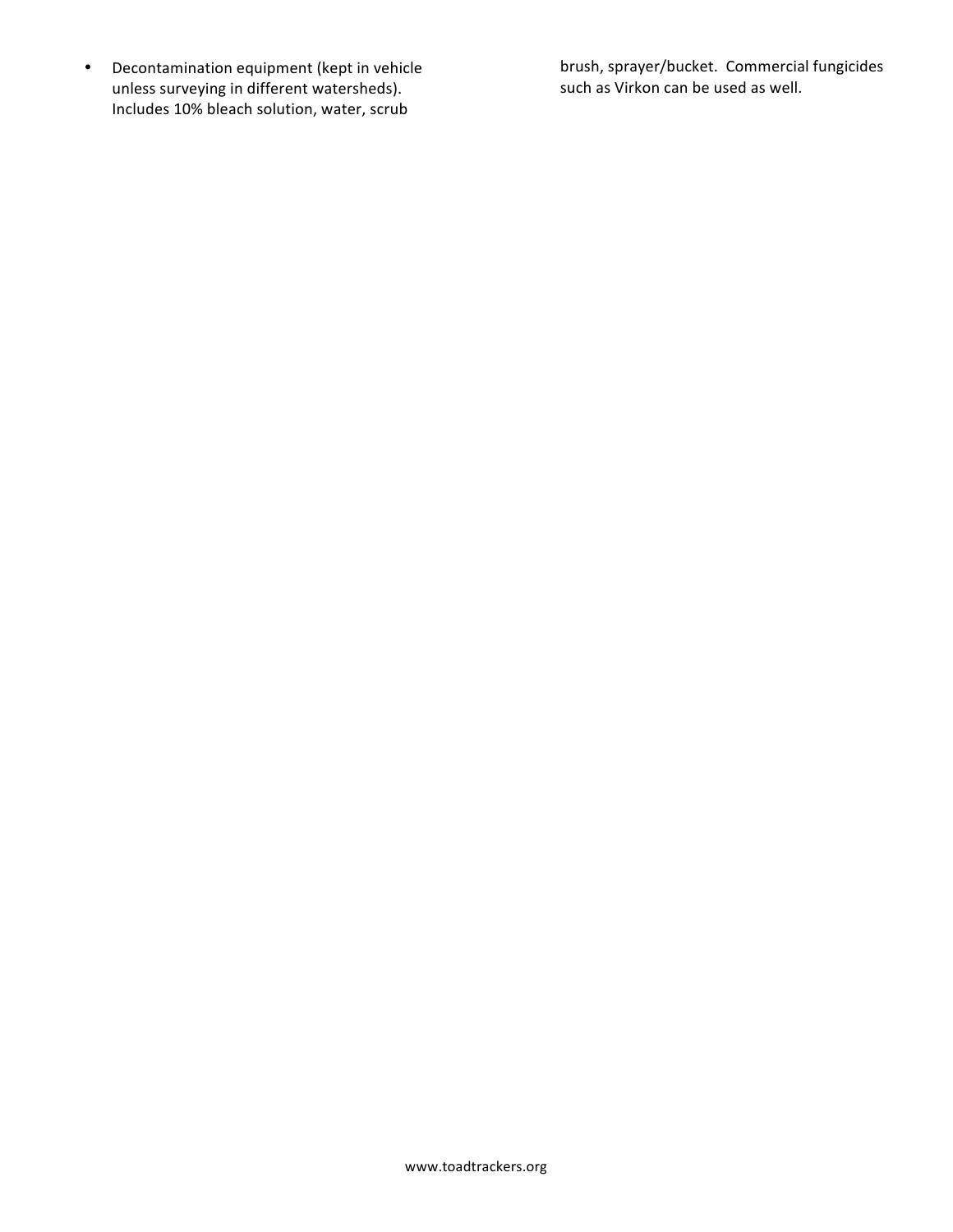• Decontamination equipment (kept in vehicle unless surveying in different watersheds). Includes 10% bleach solution, water, scrub

brush, sprayer/bucket. Commercial fungicides such as Virkon can be used as well.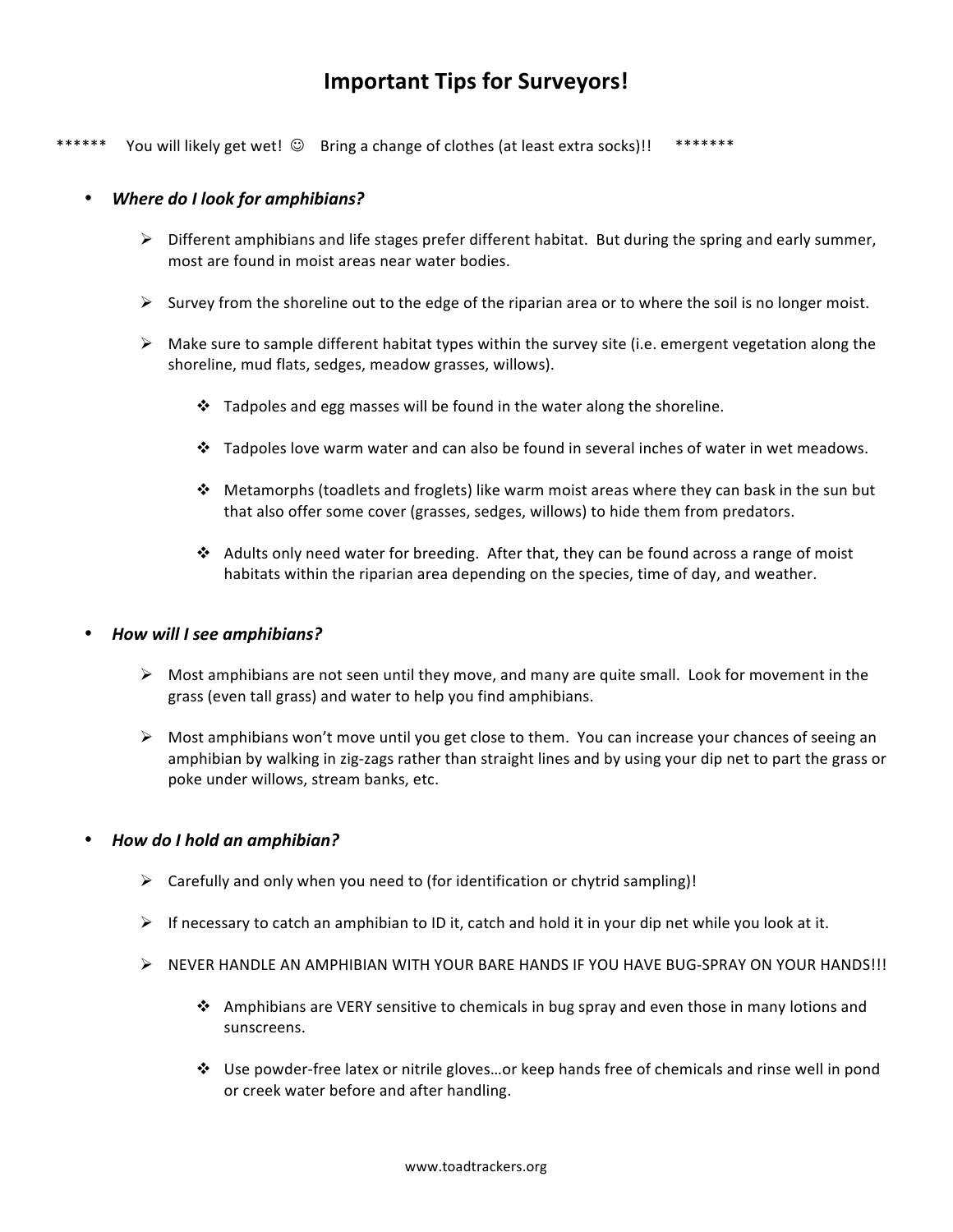## **Important Tips for Surveyors!**

\*\*\*\*\*\* You will likely get wet!  $\odot$  Bring a change of clothes (at least extra socks)!! \*\*\*\*\*\*\*

#### • *Where do I look for amphibians?*

- $\triangleright$  Different amphibians and life stages prefer different habitat. But during the spring and early summer, most are found in moist areas near water bodies.
- $\triangleright$  Survey from the shoreline out to the edge of the riparian area or to where the soil is no longer moist.
- $\triangleright$  Make sure to sample different habitat types within the survey site (i.e. emergent vegetation along the shoreline, mud flats, sedges, meadow grasses, willows).
	- $\cdot \cdot$  Tadpoles and egg masses will be found in the water along the shoreline.
	- $\cdot$  Tadpoles love warm water and can also be found in several inches of water in wet meadows.
	- $\cdot$  Metamorphs (toadlets and froglets) like warm moist areas where they can bask in the sun but that also offer some cover (grasses, sedges, willows) to hide them from predators.
	- $\clubsuit$  Adults only need water for breeding. After that, they can be found across a range of moist habitats within the riparian area depending on the species, time of day, and weather.

#### • *How will I see amphibians?*

- $\triangleright$  Most amphibians are not seen until they move, and many are quite small. Look for movement in the grass (even tall grass) and water to help you find amphibians.
- $\triangleright$  Most amphibians won't move until you get close to them. You can increase your chances of seeing an amphibian by walking in zig-zags rather than straight lines and by using your dip net to part the grass or poke under willows, stream banks, etc.

#### • *How do I hold an amphibian?*

- $\triangleright$  Carefully and only when you need to (for identification or chytrid sampling)!
- $\triangleright$  If necessary to catch an amphibian to ID it, catch and hold it in your dip net while you look at it.
- $\triangleright$  NEVER HANDLE AN AMPHIBIAN WITH YOUR BARE HANDS IF YOU HAVE BUG-SPRAY ON YOUR HANDS!!!
	- $\cdot$  Amphibians are VERY sensitive to chemicals in bug spray and even those in many lotions and sunscreens.
	- \* Use powder-free latex or nitrile gloves…or keep hands free of chemicals and rinse well in pond or creek water before and after handling.